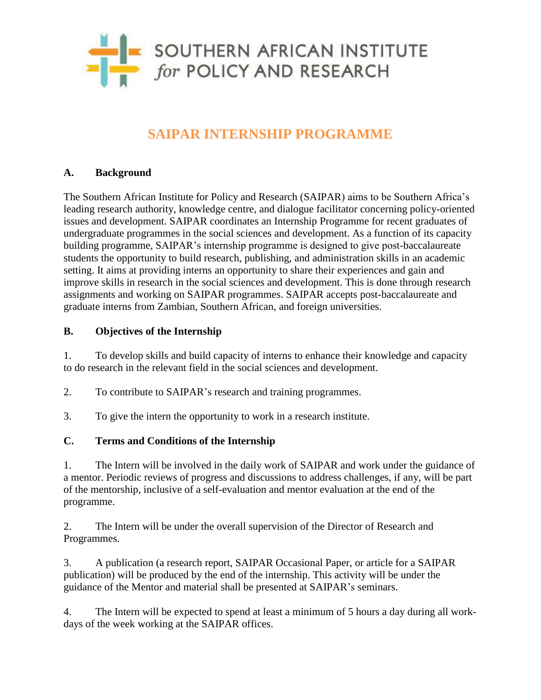

# **SAIPAR INTERNSHIP PROGRAMME**

## **A. Background**

The Southern African Institute for Policy and Research (SAIPAR) aims to be Southern Africa's leading research authority, knowledge centre, and dialogue facilitator concerning policy-oriented issues and development. SAIPAR coordinates an Internship Programme for recent graduates of undergraduate programmes in the social sciences and development. As a function of its capacity building programme, SAIPAR's internship programme is designed to give post-baccalaureate students the opportunity to build research, publishing, and administration skills in an academic setting. It aims at providing interns an opportunity to share their experiences and gain and improve skills in research in the social sciences and development. This is done through research assignments and working on SAIPAR programmes. SAIPAR accepts post-baccalaureate and graduate interns from Zambian, Southern African, and foreign universities.

### **B. Objectives of the Internship**

1. To develop skills and build capacity of interns to enhance their knowledge and capacity to do research in the relevant field in the social sciences and development.

- 2. To contribute to SAIPAR's research and training programmes.
- 3. To give the intern the opportunity to work in a research institute.

### **C. Terms and Conditions of the Internship**

1. The Intern will be involved in the daily work of SAIPAR and work under the guidance of a mentor. Periodic reviews of progress and discussions to address challenges, if any, will be part of the mentorship, inclusive of a self-evaluation and mentor evaluation at the end of the programme.

2. The Intern will be under the overall supervision of the Director of Research and Programmes.

3. A publication (a research report, SAIPAR Occasional Paper, or article for a SAIPAR publication) will be produced by the end of the internship. This activity will be under the guidance of the Mentor and material shall be presented at SAIPAR's seminars.

4. The Intern will be expected to spend at least a minimum of 5 hours a day during all workdays of the week working at the SAIPAR offices.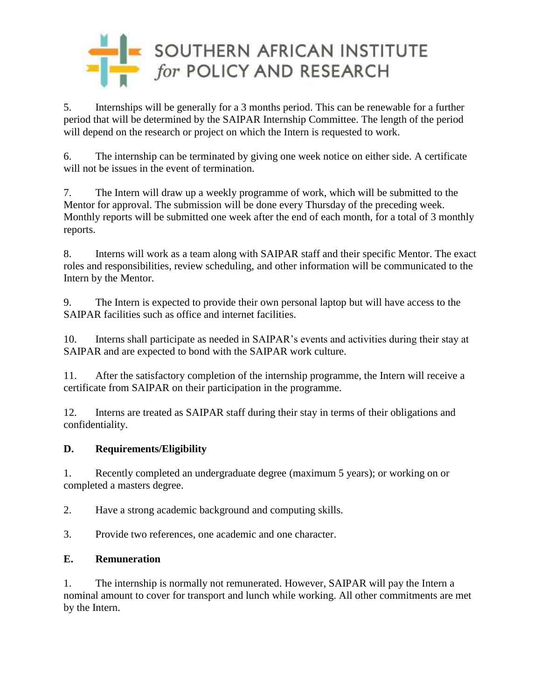

5. Internships will be generally for a 3 months period. This can be renewable for a further period that will be determined by the SAIPAR Internship Committee. The length of the period will depend on the research or project on which the Intern is requested to work.

6. The internship can be terminated by giving one week notice on either side. A certificate will not be issues in the event of termination.

7. The Intern will draw up a weekly programme of work, which will be submitted to the Mentor for approval. The submission will be done every Thursday of the preceding week. Monthly reports will be submitted one week after the end of each month, for a total of 3 monthly reports.

8. Interns will work as a team along with SAIPAR staff and their specific Mentor. The exact roles and responsibilities, review scheduling, and other information will be communicated to the Intern by the Mentor.

9. The Intern is expected to provide their own personal laptop but will have access to the SAIPAR facilities such as office and internet facilities.

10. Interns shall participate as needed in SAIPAR's events and activities during their stay at SAIPAR and are expected to bond with the SAIPAR work culture.

11. After the satisfactory completion of the internship programme, the Intern will receive a certificate from SAIPAR on their participation in the programme.

12. Interns are treated as SAIPAR staff during their stay in terms of their obligations and confidentiality.

## **D. Requirements/Eligibility**

1. Recently completed an undergraduate degree (maximum 5 years); or working on or completed a masters degree.

2. Have a strong academic background and computing skills.

3. Provide two references, one academic and one character.

## **E. Remuneration**

1. The internship is normally not remunerated. However, SAIPAR will pay the Intern a nominal amount to cover for transport and lunch while working. All other commitments are met by the Intern.